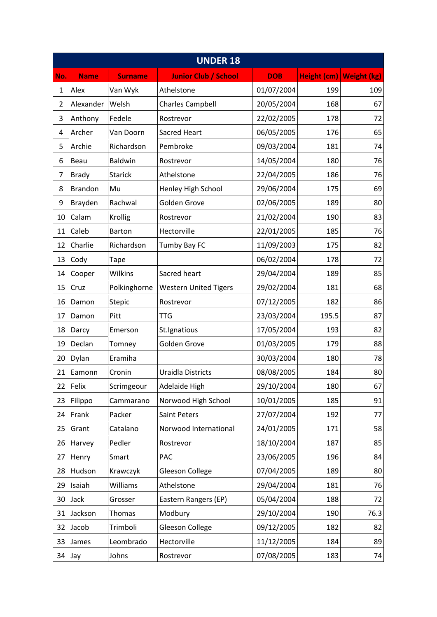| <b>UNDER 18</b> |                |                |                              |            |       |                         |  |  |  |
|-----------------|----------------|----------------|------------------------------|------------|-------|-------------------------|--|--|--|
| No.             | <b>Name</b>    | <b>Surname</b> | <b>Junior Club / School</b>  | <b>DOB</b> |       | Height (cm) Weight (kg) |  |  |  |
| $\mathbf{1}$    | Alex           | Van Wyk        | Athelstone                   | 01/07/2004 | 199   | 109                     |  |  |  |
| $\overline{2}$  | Alexander      | Welsh          | <b>Charles Campbell</b>      | 20/05/2004 | 168   | 67                      |  |  |  |
| 3               | Anthony        | Fedele         | Rostrevor                    | 22/02/2005 | 178   | 72                      |  |  |  |
| 4               | Archer         | Van Doorn      | <b>Sacred Heart</b>          | 06/05/2005 | 176   | 65                      |  |  |  |
| 5               | Archie         | Richardson     | Pembroke                     | 09/03/2004 | 181   | 74                      |  |  |  |
| 6               | Beau           | <b>Baldwin</b> | Rostrevor                    | 14/05/2004 | 180   | 76                      |  |  |  |
| 7               | <b>Brady</b>   | <b>Starick</b> | Athelstone                   | 22/04/2005 | 186   | 76                      |  |  |  |
| 8               | <b>Brandon</b> | Mu             | Henley High School           | 29/06/2004 | 175   | 69                      |  |  |  |
| 9               | Brayden        | Rachwal        | Golden Grove                 | 02/06/2005 | 189   | 80                      |  |  |  |
| 10              | Calam          | Krollig        | Rostrevor                    | 21/02/2004 | 190   | 83                      |  |  |  |
| 11              | Caleb          | <b>Barton</b>  | Hectorville                  | 22/01/2005 | 185   | 76                      |  |  |  |
| 12              | Charlie        | Richardson     | Tumby Bay FC                 | 11/09/2003 | 175   | 82                      |  |  |  |
| 13              | Cody           | Tape           |                              | 06/02/2004 | 178   | 72                      |  |  |  |
| 14              | Cooper         | Wilkins        | Sacred heart                 | 29/04/2004 | 189   | 85                      |  |  |  |
| 15              | Cruz           | Polkinghorne   | <b>Western United Tigers</b> | 29/02/2004 | 181   | 68                      |  |  |  |
| 16              | Damon          | <b>Stepic</b>  | Rostrevor                    | 07/12/2005 | 182   | 86                      |  |  |  |
| 17              | Damon          | Pitt           | <b>TTG</b>                   | 23/03/2004 | 195.5 | 87                      |  |  |  |
| 18              | Darcy          | Emerson        | St.Ignatious                 | 17/05/2004 | 193   | 82                      |  |  |  |
| 19              | Declan         | Tomney         | Golden Grove                 | 01/03/2005 | 179   | 88                      |  |  |  |
| 20              | Dylan          | Eramiha        |                              | 30/03/2004 | 180   | 78                      |  |  |  |
| 21              | Eamonn         | Cronin         | Uraidla Districts            | 08/08/2005 | 184   | 80                      |  |  |  |
| 22              | Felix          | Scrimgeour     | Adelaide High                | 29/10/2004 | 180   | 67                      |  |  |  |
| 23              | Filippo        | Cammarano      | Norwood High School          | 10/01/2005 | 185   | 91                      |  |  |  |
| 24              | Frank          | Packer         | Saint Peters                 | 27/07/2004 | 192   | 77                      |  |  |  |
| 25              | Grant          | Catalano       | Norwood International        | 24/01/2005 | 171   | 58                      |  |  |  |
| 26              | Harvey         | Pedler         | Rostrevor                    | 18/10/2004 | 187   | 85                      |  |  |  |
| 27              | Henry          | Smart          | <b>PAC</b>                   | 23/06/2005 | 196   | 84                      |  |  |  |
| 28              | Hudson         | Krawczyk       | Gleeson College              | 07/04/2005 | 189   | 80                      |  |  |  |
| 29              | Isaiah         | Williams       | Athelstone                   | 29/04/2004 | 181   | 76                      |  |  |  |
| 30              | Jack           | Grosser        | Eastern Rangers (EP)         | 05/04/2004 | 188   | 72                      |  |  |  |
| 31              | Jackson        | Thomas         | Modbury                      | 29/10/2004 | 190   | 76.3                    |  |  |  |
| 32              | Jacob          | Trimboli       | Gleeson College              | 09/12/2005 | 182   | 82                      |  |  |  |
| 33              | James          | Leombrado      | Hectorville                  | 11/12/2005 | 184   | 89                      |  |  |  |
| 34              | Jay            | Johns          | Rostrevor                    | 07/08/2005 | 183   | 74                      |  |  |  |